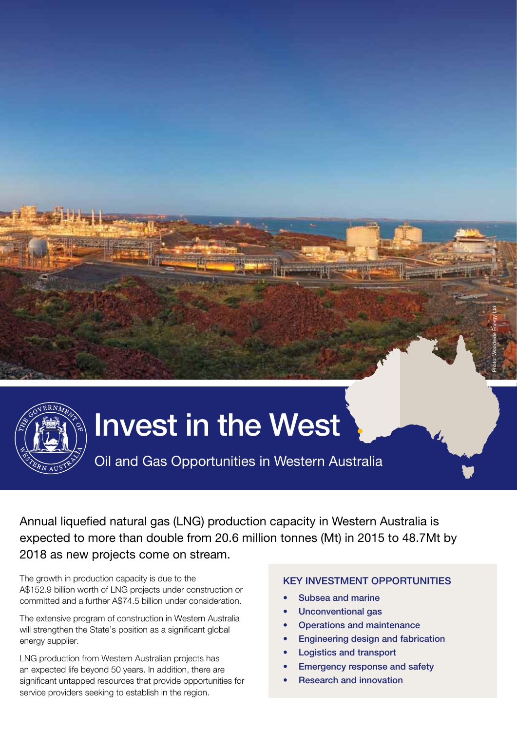

# Invest in the West

Oil and Gas Opportunities in Western Australia

Annual liquefied natural gas (LNG) production capacity in Western Australia is expected to more than double from 20.6 million tonnes (Mt) in 2015 to 48.7Mt by 2018 as new projects come on stream.

The growth in production capacity is due to the A\$152.9 billion worth of LNG projects under construction or committed and a further A\$74.5 billion under consideration.

The extensive program of construction in Western Australia will strengthen the State's position as a significant global energy supplier.

LNG production from Western Australian projects has an expected life beyond 50 years. In addition, there are significant untapped resources that provide opportunities for service providers seeking to establish in the region.

# KEY INVESTMENT OPPORTUNITIES

Photo: Woodside Energy Ltd

- Subsea and marine
- Unconventional gas
- Operations and maintenance
- **Engineering design and fabrication**
- **Logistics and transport**
- **Emergency response and safety**
- **Research and innovation**